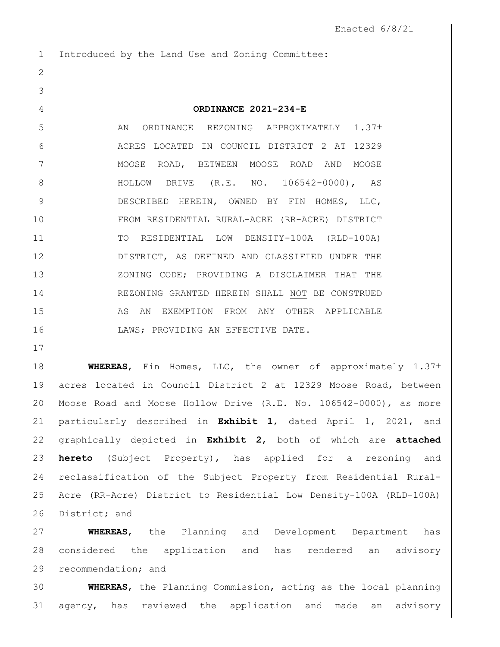1 Introduced by the Land Use and Zoning Committee:

## **ORDINANCE 2021-234-E**

5 AN ORDINANCE REZONING APPROXIMATELY 1.37± ACRES LOCATED IN COUNCIL DISTRICT 2 AT 12329 7 MOOSE ROAD, BETWEEN MOOSE ROAD AND MOOSE 8 | HOLLOW DRIVE (R.E. NO. 106542-0000), AS 9 DESCRIBED HEREIN, OWNED BY FIN HOMES, LLC, FROM RESIDENTIAL RURAL-ACRE (RR-ACRE) DISTRICT TO RESIDENTIAL LOW DENSITY-100A (RLD-100A) DISTRICT, AS DEFINED AND CLASSIFIED UNDER THE ZONING CODE; PROVIDING A DISCLAIMER THAT THE REZONING GRANTED HEREIN SHALL NOT BE CONSTRUED 15 AS AN EXEMPTION FROM ANY OTHER APPLICABLE 16 LAWS; PROVIDING AN EFFECTIVE DATE.

**WHEREAS**, Fin Homes, LLC, the owner of approximately 1.37± acres located in Council District 2 at 12329 Moose Road, between Moose Road and Moose Hollow Drive (R.E. No. 106542-0000), as more particularly described in **Exhibit 1**, dated April 1, 2021, and graphically depicted in **Exhibit 2**, both of which are **attached hereto** (Subject Property), has applied for a rezoning and reclassification of the Subject Property from Residential Rural- Acre (RR-Acre) District to Residential Low Density-100A (RLD-100A) 26 District; and

 **WHEREAS**, the Planning and Development Department has considered the application and has rendered an advisory 29 recommendation; and

 **WHEREAS**, the Planning Commission, acting as the local planning agency, has reviewed the application and made an advisory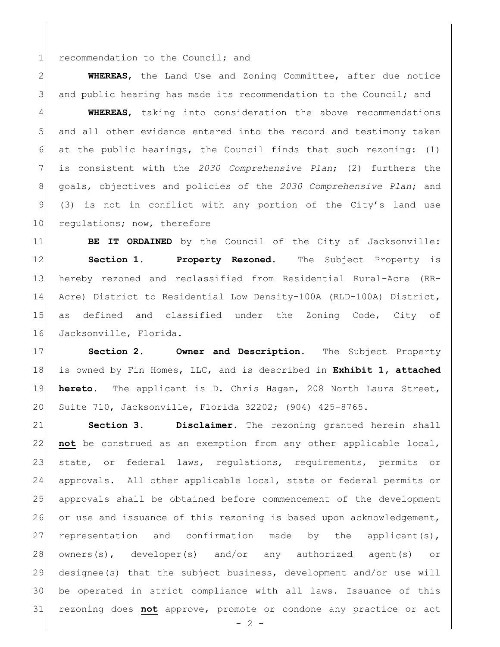1 recommendation to the Council; and

 **WHEREAS**, the Land Use and Zoning Committee, after due notice 3 and public hearing has made its recommendation to the Council; and

 **WHEREAS**, taking into consideration the above recommendations and all other evidence entered into the record and testimony taken 6 at the public hearings, the Council finds that such rezoning:  $(1)$  is consistent with the *2030 Comprehensive Plan*; (2) furthers the goals, objectives and policies of the *2030 Comprehensive Plan*; and (3) is not in conflict with any portion of the City's land use 10 regulations; now, therefore

**BE IT ORDAINED** by the Council of the City of Jacksonville: **Section 1. Property Rezoned.** The Subject Property is hereby rezoned and reclassified from Residential Rural-Acre (RR-14 Acre) District to Residential Low Density-100A (RLD-100A) District, as defined and classified under the Zoning Code, City of 16 Jacksonville, Florida.

 **Section 2. Owner and Description.** The Subject Property is owned by Fin Homes, LLC, and is described in **Exhibit 1, attached hereto.** The applicant is D. Chris Hagan, 208 North Laura Street, Suite 710, Jacksonville, Florida 32202; (904) 425-8765.

 **Section 3. Disclaimer.** The rezoning granted herein shall **not** be construed as an exemption from any other applicable local, state, or federal laws, regulations, requirements, permits or approvals. All other applicable local, state or federal permits or approvals shall be obtained before commencement of the development 26 or use and issuance of this rezoning is based upon acknowledgement, 27 representation and confirmation made by the applicant(s), owners(s), developer(s) and/or any authorized agent(s) or designee(s) that the subject business, development and/or use will be operated in strict compliance with all laws. Issuance of this rezoning does **not** approve, promote or condone any practice or act